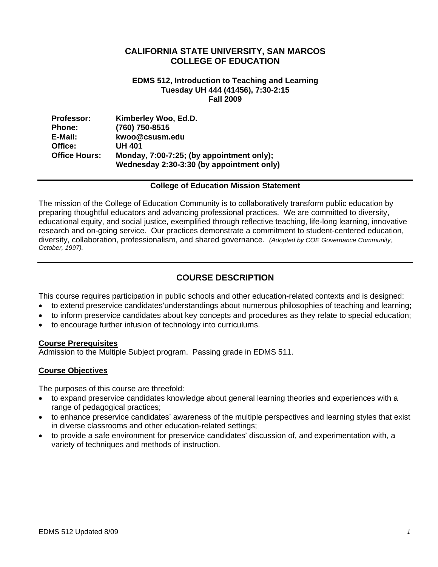## **CALIFORNIA STATE UNIVERSITY, SAN MARCOS COLLEGE OF EDUCATION**

#### **EDMS 512, Introduction to Teaching and Learning Tuesday UH 444 (41456), 7:30-2:15 Fall 2009**

| <b>Professor:</b>    | Kimberley Woo, Ed.D.                                                                   |
|----------------------|----------------------------------------------------------------------------------------|
| Phone:               | (760) 750-8515                                                                         |
| E-Mail:              | kwoo@csusm.edu                                                                         |
| Office:              | <b>UH 401</b>                                                                          |
| <b>Office Hours:</b> | Monday, 7:00-7:25; (by appointment only);<br>Wednesday 2:30-3:30 (by appointment only) |

#### **College of Education Mission Statement**

The mission of the College of Education Community is to collaboratively transform public education by preparing thoughtful educators and advancing professional practices. We are committed to diversity, educational equity, and social justice, exemplified through reflective teaching, life-long learning, innovative research and on-going service. Our practices demonstrate a commitment to student-centered education, diversity, collaboration, professionalism, and shared governance. *(Adopted by COE Governance Community, October, 1997).* 

## **COURSE DESCRIPTION**

This course requires participation in public schools and other education-related contexts and is designed:

- to extend preservice candidates'understandings about numerous philosophies of teaching and learning;
- to inform preservice candidates about key concepts and procedures as they relate to special education;
- to encourage further infusion of technology into curriculums.

#### **Course Prerequisites**

Admission to the Multiple Subject program. Passing grade in EDMS 511.

## **Course Objectives**

The purposes of this course are threefold:

- to expand preservice candidates knowledge about general learning theories and experiences with a range of pedagogical practices;
- to enhance preservice candidates' awareness of the multiple perspectives and learning styles that exist in diverse classrooms and other education-related settings;
- to provide a safe environment for preservice candidates' discussion of, and experimentation with, a variety of techniques and methods of instruction.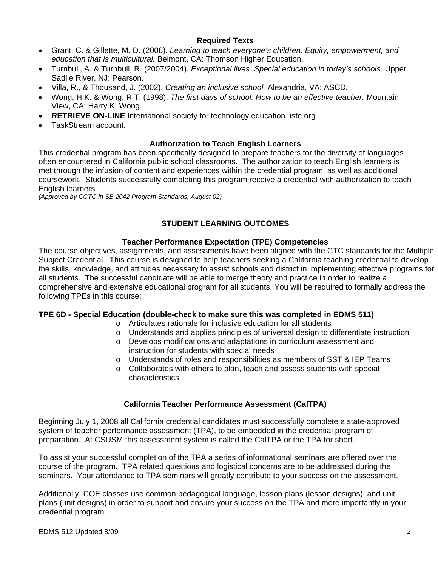## **Required Texts**

- Grant, C. & Gillette, M. D. (2006). *Learning to teach everyone's children: Equity, empowerment, and education that is multicultural.* Belmont, CA: Thomson Higher Education.
- Turnbull, A. & Turnbull, R. (2007/2004). *Exceptional lives: Special education in today's schools*. Upper Sadlle River, NJ: Pearson.
- Villa, R., & Thousand, J. (2002). *Creating an inclusive school.* Alexandria, VA: ASCD**.**
- Wong, H.K. & Wong, R.T. (1998). *The first days of school: How to be an effective teacher.* Mountain View, CA: Harry K. Wong.
- **RETRIEVE ON-LINE** International society for technology education. iste.org
- TaskStream account.

## **Authorization to Teach English Learners**

This credential program has been specifically designed to prepare teachers for the diversity of languages often encountered in California public school classrooms. The authorization to teach English learners is met through the infusion of content and experiences within the credential program, as well as additional coursework. Students successfully completing this program receive a credential with authorization to teach English learners.

*(Approved by CCTC in SB 2042 Program Standards, August 02)* 

## **STUDENT LEARNING OUTCOMES**

## **Teacher Performance Expectation (TPE) Competencies**

The course objectives, assignments, and assessments have been aligned with the CTC standards for the Multiple Subject Credential. This course is designed to help teachers seeking a California teaching credential to develop the skills, knowledge, and attitudes necessary to assist schools and district in implementing effective programs for all students. The successful candidate will be able to merge theory and practice in order to realize a comprehensive and extensive educational program for all students. You will be required to formally address the following TPEs in this course:

## **TPE 6D - Special Education (double-check to make sure this was completed in EDMS 511)**

- o Articulates rationale for inclusive education for all students
- $\circ$  Understands and applies principles of universal design to differentiate instruction
- o Develops modifications and adaptations in curriculum assessment and instruction for students with special needs
- $\circ$  Understands of roles and responsibilities as members of SST & IEP Teams
- $\circ$  Collaborates with others to plan, teach and assess students with special characteristics

## **California Teacher Performance Assessment (CalTPA)**

Beginning July 1, 2008 all California credential candidates must successfully complete a state-approved system of teacher performance assessment (TPA), to be embedded in the credential program of preparation. At CSUSM this assessment system is called the CalTPA or the TPA for short.

To assist your successful completion of the TPA a series of informational seminars are offered over the course of the program. TPA related questions and logistical concerns are to be addressed during the seminars. Your attendance to TPA seminars will greatly contribute to your success on the assessment.

Additionally, COE classes use common pedagogical language, lesson plans (lesson designs), and unit plans (unit designs) in order to support and ensure your success on the TPA and more importantly in your credential program.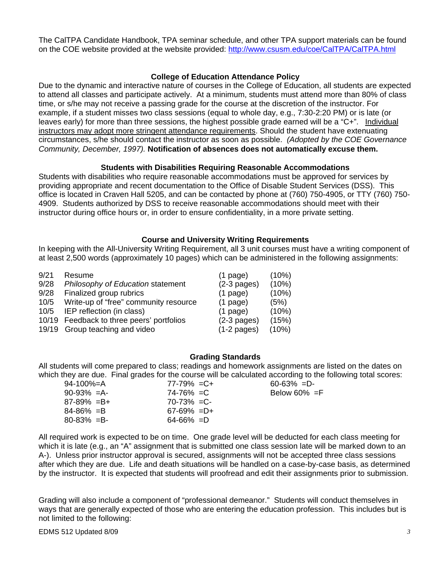The CalTPA Candidate Handbook, TPA seminar schedule, and other TPA support materials can be found on the COE website provided at the website provided: http://www.csusm.edu/coe/CalTPA/CalTPA.html

#### **College of Education Attendance Policy**

Due to the dynamic and interactive nature of courses in the College of Education, all students are expected to attend all classes and participate actively. At a minimum, students must attend more than 80% of class time, or s/he may not receive a passing grade for the course at the discretion of the instructor. For example, if a student misses two class sessions (equal to whole day, e.g., 7:30-2:20 PM) or is late (or leaves early) for more than three sessions, the highest possible grade earned will be a "C+". Individual instructors may adopt more stringent attendance requirements. Should the student have extenuating circumstances, s/he should contact the instructor as soon as possible. *(Adopted by the COE Governance Community, December, 1997).* **Notification of absences does not automatically excuse them.** 

#### **Students with Disabilities Requiring Reasonable Accommodations**

Students with disabilities who require reasonable accommodations must be approved for services by providing appropriate and recent documentation to the Office of Disable Student Services (DSS). This office is located in Craven Hall 5205, and can be contacted by phone at (760) 750-4905, or TTY (760) 750- 4909. Students authorized by DSS to receive reasonable accommodations should meet with their instructor during office hours or, in order to ensure confidentiality, in a more private setting.

#### **Course and University Writing Requirements**

In keeping with the All-University Writing Requirement, all 3 unit courses must have a writing component of at least 2,500 words (approximately 10 pages) which can be administered in the following assignments:

| 9/21 | Resume                                    | $(1$ page)    | (10%) |
|------|-------------------------------------------|---------------|-------|
| 9/28 | Philosophy of Education statement         | $(2-3$ pages) | (10%) |
| 9/28 | Finalized group rubrics                   | $(1$ page)    | (10%) |
| 10/5 | Write-up of "free" community resource     | $(1$ page)    | (5%)  |
| 10/5 | IEP reflection (in class)                 | $(1$ page)    | (10%) |
|      | 10/19 Feedback to three peers' portfolios | $(2-3$ pages) | (15%) |
|      | 19/19 Group teaching and video            | $(1-2$ pages) | (10%) |

## **Grading Standards**

All students will come prepared to class; readings and homework assignments are listed on the dates on which they are due. Final grades for the course will be calculated according to the following total scores:

| 94-100%=A       | $77 - 79\% = C +$ | $60 - 63\% = D$ |
|-----------------|-------------------|-----------------|
| $90-93\% = A$   | 74-76% =C         | Below 60% $=F$  |
| $87-89\% = B+$  | $70 - 73\% = C$   |                 |
| $84 - 86\% = B$ | $67-69\% = D+$    |                 |
| $80 - 83\% = B$ | $64 - 66\% = D$   |                 |
|                 |                   |                 |

All required work is expected to be on time. One grade level will be deducted for each class meeting for which it is late (e.g., an "A" assignment that is submitted one class session late will be marked down to an A-). Unless prior instructor approval is secured, assignments will not be accepted three class sessions after which they are due. Life and death situations will be handled on a case-by-case basis, as determined by the instructor. It is expected that students will proofread and edit their assignments prior to submission.

Grading will also include a component of "professional demeanor." Students will conduct themselves in ways that are generally expected of those who are entering the education profession. This includes but is not limited to the following: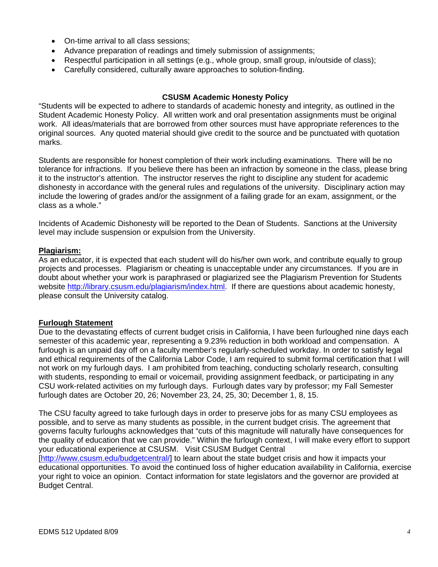- On-time arrival to all class sessions;
- Advance preparation of readings and timely submission of assignments;
- Respectful participation in all settings (e.g., whole group, small group, in/outside of class);
- Carefully considered, culturally aware approaches to solution-finding.

#### **CSUSM Academic Honesty Policy**

"Students will be expected to adhere to standards of academic honesty and integrity, as outlined in the Student Academic Honesty Policy. All written work and oral presentation assignments must be original work. All ideas/materials that are borrowed from other sources must have appropriate references to the original sources. Any quoted material should give credit to the source and be punctuated with quotation marks.

Students are responsible for honest completion of their work including examinations. There will be no tolerance for infractions. If you believe there has been an infraction by someone in the class, please bring it to the instructor's attention. The instructor reserves the right to discipline any student for academic dishonesty in accordance with the general rules and regulations of the university. Disciplinary action may include the lowering of grades and/or the assignment of a failing grade for an exam, assignment, or the class as a whole."

Incidents of Academic Dishonesty will be reported to the Dean of Students. Sanctions at the University level may include suspension or expulsion from the University.

#### **Plagiarism:**

As an educator, it is expected that each student will do his/her own work, and contribute equally to group projects and processes. Plagiarism or cheating is unacceptable under any circumstances. If you are in doubt about whether your work is paraphrased or plagiarized see the Plagiarism Prevention for Students website http://library.csusm.edu/plagiarism/index.html. If there are questions about academic honesty, please consult the University catalog.

#### **Furlough Statement**

Due to the devastating effects of current budget crisis in California, I have been furloughed nine days each semester of this academic year, representing a 9.23% reduction in both workload and compensation. A furlough is an unpaid day off on a faculty member's regularly-scheduled workday. In order to satisfy legal and ethical requirements of the California Labor Code, I am required to submit formal certification that I will not work on my furlough days. I am prohibited from teaching, conducting scholarly research, consulting with students, responding to email or voicemail, providing assignment feedback, or participating in any CSU work-related activities on my furlough days. Furlough dates vary by professor; my Fall Semester furlough dates are October 20, 26; November 23, 24, 25, 30; December 1, 8, 15.

The CSU faculty agreed to take furlough days in order to preserve jobs for as many CSU employees as possible, and to serve as many students as possible, in the current budget crisis. The agreement that governs faculty furloughs acknowledges that "cuts of this magnitude will naturally have consequences for the quality of education that we can provide." Within the furlough context, I will make every effort to support your educational experience at CSUSM. Visit CSUSM Budget Central

[http://www.csusm.edu/budgetcentral/] to learn about the state budget crisis and how it impacts your educational opportunities. To avoid the continued loss of higher education availability in California, exercise your right to voice an opinion. Contact information for state legislators and the governor are provided at Budget Central.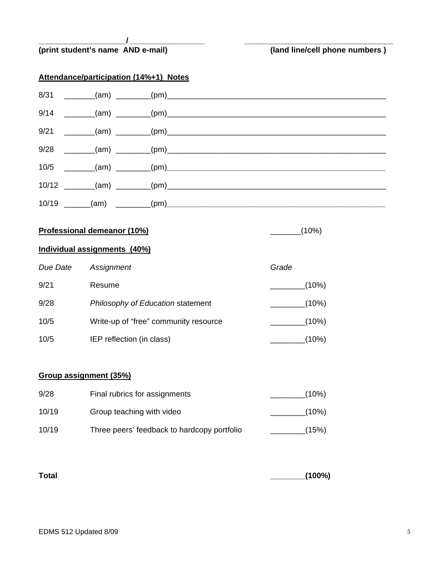|          | (print student's name AND e-mail)      | (land line/cell phone numbers) |
|----------|----------------------------------------|--------------------------------|
|          | Attendance/participation (14%+1) Notes |                                |
| 8/31     |                                        |                                |
| 9/14     |                                        |                                |
| 9/21     |                                        |                                |
| 9/28     |                                        |                                |
|          |                                        |                                |
|          | $10/12$ (am) $(pm)$ (pm)               |                                |
|          |                                        |                                |
|          | Professional demeanor (10%)            | $\frac{1}{\sqrt{10}}$ (10%)    |
|          | Individual assignments (40%)           |                                |
| Due Date | Assignment                             | Grade                          |
| 9/21     | Resume                                 | (10%)                          |
| 9/28     | Philosophy of Education statement      | (10%)                          |
| 10/5     | Write-up of "free" community resource  | $\frac{1}{\sqrt{10\%}}$        |
| 10/5     | IEP reflection (in class)              | $(10\%)$                       |
|          | Group assignment (35%)                 |                                |
| 9/28     | Final rubrics for assignments          | _________(10%)                 |

| 10/19 | Three peers' feedback to hardcopy portfolio | (15%) |
|-------|---------------------------------------------|-------|

10/19 Group teaching with video \_\_\_\_\_\_\_\_\_\_\_\_\_\_\_\_(10%)

| (100%) |
|--------|
|        |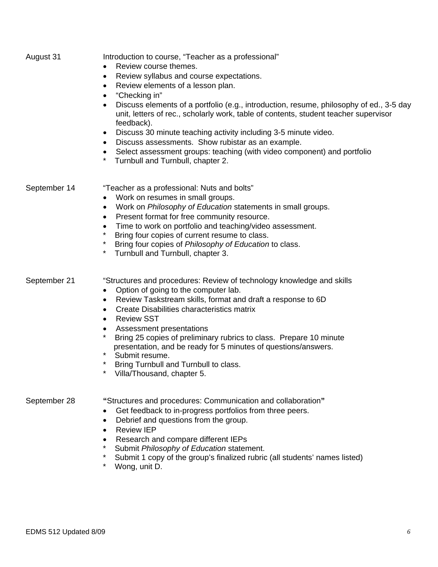| August 31    | Introduction to course, "Teacher as a professional"<br>Review course themes.<br>Review syllabus and course expectations.<br>٠<br>Review elements of a lesson plan.<br>٠<br>"Checking in"<br>Discuss elements of a portfolio (e.g., introduction, resume, philosophy of ed., 3-5 day<br>$\bullet$<br>unit, letters of rec., scholarly work, table of contents, student teacher supervisor<br>feedback).<br>Discuss 30 minute teaching activity including 3-5 minute video.<br>٠<br>Discuss assessments. Show rubistar as an example.<br>٠<br>Select assessment groups: teaching (with video component) and portfolio<br>$\bullet$<br>*<br>Turnbull and Turnbull, chapter 2. |
|--------------|----------------------------------------------------------------------------------------------------------------------------------------------------------------------------------------------------------------------------------------------------------------------------------------------------------------------------------------------------------------------------------------------------------------------------------------------------------------------------------------------------------------------------------------------------------------------------------------------------------------------------------------------------------------------------|
| September 14 | "Teacher as a professional: Nuts and bolts"<br>Work on resumes in small groups.<br>٠<br>Work on Philosophy of Education statements in small groups.<br>Present format for free community resource.<br>$\bullet$<br>Time to work on portfolio and teaching/video assessment.<br>Bring four copies of current resume to class.<br>$\star$<br>Bring four copies of Philosophy of Education to class.<br>* Turnbull and Turnbull, chapter 3.                                                                                                                                                                                                                                   |
| September 21 | "Structures and procedures: Review of technology knowledge and skills<br>Option of going to the computer lab.<br>$\bullet$<br>Review Taskstream skills, format and draft a response to 6D<br>$\bullet$<br>Create Disabilities characteristics matrix<br>٠<br><b>Review SST</b><br>$\bullet$<br>Assessment presentations<br>$\bullet$<br>*<br>Bring 25 copies of preliminary rubrics to class. Prepare 10 minute<br>presentation, and be ready for 5 minutes of questions/answers.<br>$\star$<br>Submit resume.<br>$\star$<br>Bring Turnbull and Turnbull to class.<br>Villa/Thousand, chapter 5.                                                                           |
| September 28 | "Structures and procedures: Communication and collaboration"<br>Get feedback to in-progress portfolios from three peers.<br>٠<br>Debrief and questions from the group.<br>$\bullet$<br><b>Review IEP</b><br>$\bullet$<br>Research and compare different IEPs<br>$\bullet$<br>*<br>Submit Philosophy of Education statement.<br>*<br>Submit 1 copy of the group's finalized rubric (all students' names listed)<br>$^\star$<br>Wong, unit D.                                                                                                                                                                                                                                |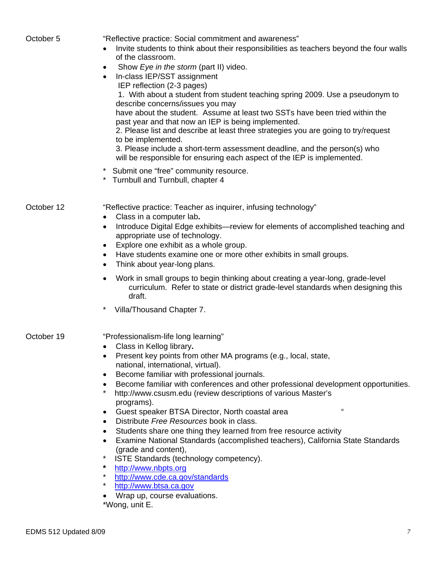| October 5  | "Reflective practice: Social commitment and awareness"<br>Invite students to think about their responsibilities as teachers beyond the four walls<br>of the classroom.<br>Show Eye in the storm (part II) video.<br>$\bullet$<br>In-class IEP/SST assignment<br>$\bullet$<br>IEP reflection (2-3 pages)<br>1. With about a student from student teaching spring 2009. Use a pseudonym to<br>describe concerns/issues you may<br>have about the student. Assume at least two SSTs have been tried within the<br>past year and that now an IEP is being implemented.<br>2. Please list and describe at least three strategies you are going to try/request<br>to be implemented.<br>3. Please include a short-term assessment deadline, and the person(s) who<br>will be responsible for ensuring each aspect of the IEP is implemented.<br>* Submit one "free" community resource.<br>* Turnbull and Turnbull, chapter 4                                            |
|------------|--------------------------------------------------------------------------------------------------------------------------------------------------------------------------------------------------------------------------------------------------------------------------------------------------------------------------------------------------------------------------------------------------------------------------------------------------------------------------------------------------------------------------------------------------------------------------------------------------------------------------------------------------------------------------------------------------------------------------------------------------------------------------------------------------------------------------------------------------------------------------------------------------------------------------------------------------------------------|
| October 12 | "Reflective practice: Teacher as inquirer, infusing technology"<br>Class in a computer lab.<br>$\bullet$<br>Introduce Digital Edge exhibits—review for elements of accomplished teaching and<br>$\bullet$<br>appropriate use of technology.<br>Explore one exhibit as a whole group.<br>Have students examine one or more other exhibits in small groups.<br>Think about year-long plans.<br>$\bullet$<br>Work in small groups to begin thinking about creating a year-long, grade-level<br>$\bullet$<br>curriculum. Refer to state or district grade-level standards when designing this<br>draft.<br>$\star$<br>Villa/Thousand Chapter 7.                                                                                                                                                                                                                                                                                                                        |
| October 19 | "Professionalism-life long learning"<br>Class in Kellog library.<br>• Present key points from other MA programs (e.g., local, state,<br>national, international, virtual).<br>Become familiar with professional journals.<br>$\bullet$<br>Become familiar with conferences and other professional development opportunities.<br>$\bullet$<br>$^\star$<br>http://www.csusm.edu (review descriptions of various Master's<br>programs).<br>$\mathbf{G}$<br>Guest speaker BTSA Director, North coastal area<br>$\bullet$<br>Distribute Free Resources book in class.<br>$\bullet$<br>Students share one thing they learned from free resource activity<br>Examine National Standards (accomplished teachers), California State Standards<br>(grade and content),<br>ISTE Standards (technology competency).<br>$\star$<br>http://www.nbpts.org<br>http://www.cde.ca.gov/standards<br>http://www.btsa.ca.gov<br>$\star$<br>Wrap up, course evaluations.<br>$*IMana$ $i$ |